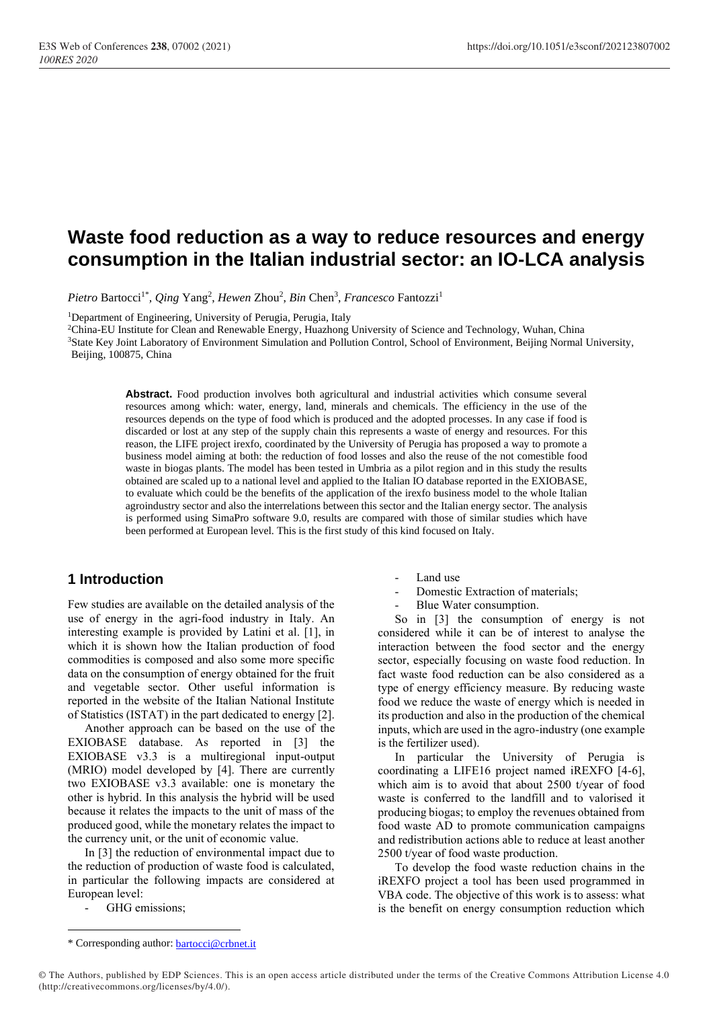# **Waste food reduction as a way to reduce resources and energy consumption in the Italian industrial sector: an IO-LCA analysis**

Pietro Bartocci<sup>1\*</sup>, *Qing* Yang<sup>2</sup>, *Hewen Zhou<sup>2</sup>*, *Bin* Chen<sup>3</sup>, *Francesco* Fantozzi<sup>1</sup>

<sup>1</sup>Department of Engineering, University of Perugia, Perugia, Italy

<sup>2</sup>China-EU Institute for Clean and Renewable Energy, Huazhong University of Science and Technology, Wuhan, China <sup>3</sup>State Key Joint Laboratory of Environment Simulation and Pollution Control, School of Environment, Beijing Normal University,

Beijing, 100875, China

**Abstract.** Food production involves both agricultural and industrial activities which consume several resources among which: water, energy, land, minerals and chemicals. The efficiency in the use of the resources depends on the type of food which is produced and the adopted processes. In any case if food is discarded or lost at any step of the supply chain this represents a waste of energy and resources. For this reason, the LIFE project irexfo, coordinated by the University of Perugia has proposed a way to promote a business model aiming at both: the reduction of food losses and also the reuse of the not comestible food waste in biogas plants. The model has been tested in Umbria as a pilot region and in this study the results obtained are scaled up to a national level and applied to the Italian IO database reported in the EXIOBASE, to evaluate which could be the benefits of the application of the irexfo business model to the whole Italian agroindustry sector and also the interrelations between this sector and the Italian energy sector. The analysis is performed using SimaPro software 9.0, results are compared with those of similar studies which have been performed at European level. This is the first study of this kind focused on Italy.

#### **1 Introduction**

Few studies are available on the detailed analysis of the use of energy in the agri-food industry in Italy. An interesting example is provided by Latini et al. [1], in which it is shown how the Italian production of food commodities is composed and also some more specific data on the consumption of energy obtained for the fruit and vegetable sector. Other useful information is reported in the website of the Italian National Institute of Statistics (ISTAT) in the part dedicated to energy [2].

Another approach can be based on the use of the EXIOBASE database. As reported in [3] the EXIOBASE v3.3 is a multiregional input-output (MRIO) model developed by [4]. There are currently two EXIOBASE v3.3 available: one is monetary the other is hybrid. In this analysis the hybrid will be used because it relates the impacts to the unit of mass of the produced good, while the monetary relates the impact to the currency unit, or the unit of economic value.

In [3] the reduction of environmental impact due to the reduction of production of waste food is calculated, in particular the following impacts are considered at European level:

GHG emissions;

- Domestic Extraction of materials;
- Blue Water consumption.

So in [3] the consumption of energy is not considered while it can be of interest to analyse the interaction between the food sector and the energy sector, especially focusing on waste food reduction. In fact waste food reduction can be also considered as a type of energy efficiency measure. By reducing waste food we reduce the waste of energy which is needed in its production and also in the production of the chemical inputs, which are used in the agro-industry (one example is the fertilizer used).

In particular the University of Perugia is coordinating a LIFE16 project named iREXFO [4-6], which aim is to avoid that about 2500 t/year of food waste is conferred to the landfill and to valorised it producing biogas; to employ the revenues obtained from food waste AD to promote communication campaigns and redistribution actions able to reduce at least another 2500 t/year of food waste production.

To develop the food waste reduction chains in the iREXFO project a tool has been used programmed in VBA code. The objective of this work is to assess: what is the benefit on energy consumption reduction which

Land use

<sup>\*</sup> Corresponding author: [bartocci@crbnet.it](mailto:bartocci@crbnet.it)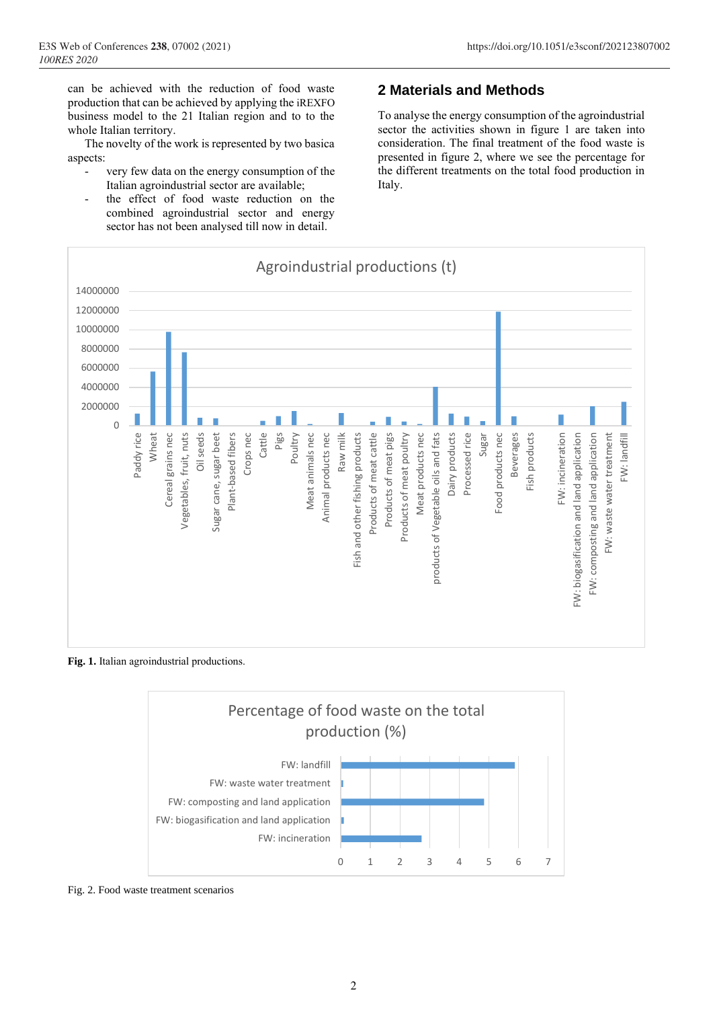The novelty of the work is represented by two basica aspects:

- very few data on the energy consumption of the Italian agroindustrial sector are available;
- the effect of food waste reduction on the combined agroindustrial sector and energy sector has not been analysed till now in detail.

## **2 Materials and Methods**

To analyse the energy consumption of the agroindustrial sector the activities shown in figure 1 are taken into consideration. The final treatment of the food waste is presented in figure 2, where we see the percentage for the different treatments on the total food production in Italy.



**Fig. 1.** Italian agroindustrial productions.



Fig. 2. Food waste treatment scenarios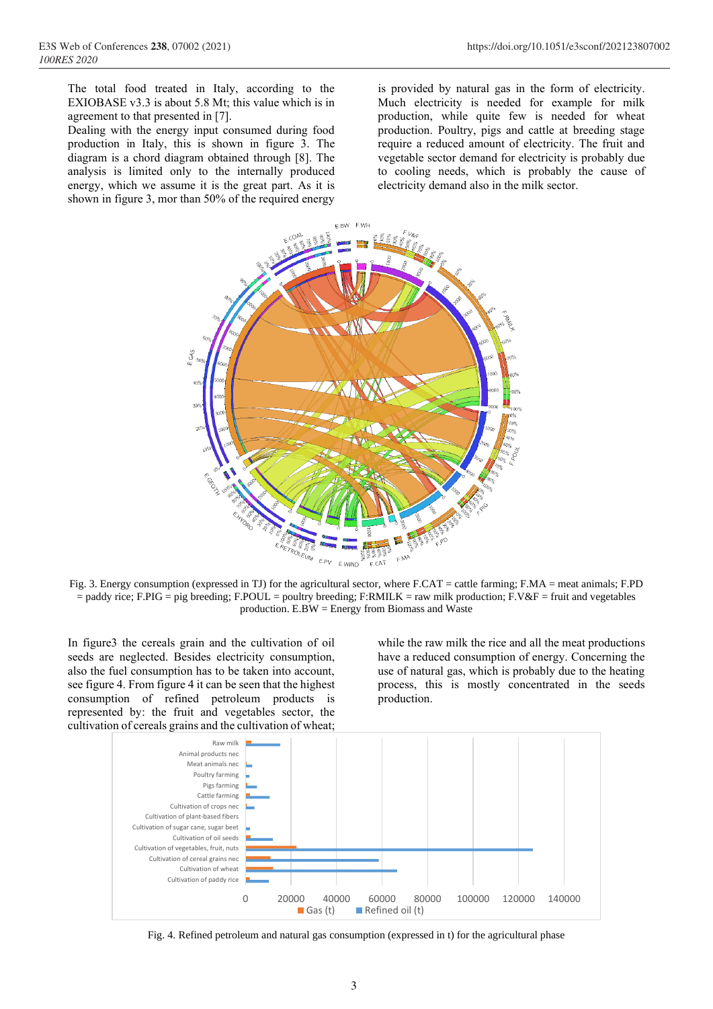The total food treated in Italy, according to the EXIOBASE v3.3 is about 5.8 Mt; this value which is in agreement to that presented in [7].

Dealing with the energy input consumed during food production in Italy, this is shown in figure 3. The diagram is a chord diagram obtained through [8]. The analysis is limited only to the internally produced energy, which we assume it is the great part. As it is shown in figure 3, mor than 50% of the required energy

is provided by natural gas in the form of electricity. Much electricity is needed for example for milk production, while quite few is needed for wheat production. Poultry, pigs and cattle at breeding stage require a reduced amount of electricity. The fruit and vegetable sector demand for electricity is probably due to cooling needs, which is probably the cause of electricity demand also in the milk sector.



Fig. 3. Energy consumption (expressed in TJ) for the agricultural sector, where F.CAT = cattle farming; F.MA = meat animals; F.PD = paddy rice; F.PIG = pig breeding; F.POUL = poultry breeding; F:RMILK = raw milk production; F.V&F = fruit and vegetables production. E.BW = Energy from Biomass and Waste

In figure3 the cereals grain and the cultivation of oil seeds are neglected. Besides electricity consumption, also the fuel consumption has to be taken into account, see figure 4. From figure 4 it can be seen that the highest consumption of refined petroleum products is represented by: the fruit and vegetables sector, the cultivation of cereals grains and the cultivation of wheat;

while the raw milk the rice and all the meat productions have a reduced consumption of energy. Concerning the use of natural gas, which is probably due to the heating process, this is mostly concentrated in the seeds production.



Fig. 4. Refined petroleum and natural gas consumption (expressed in t) for the agricultural phase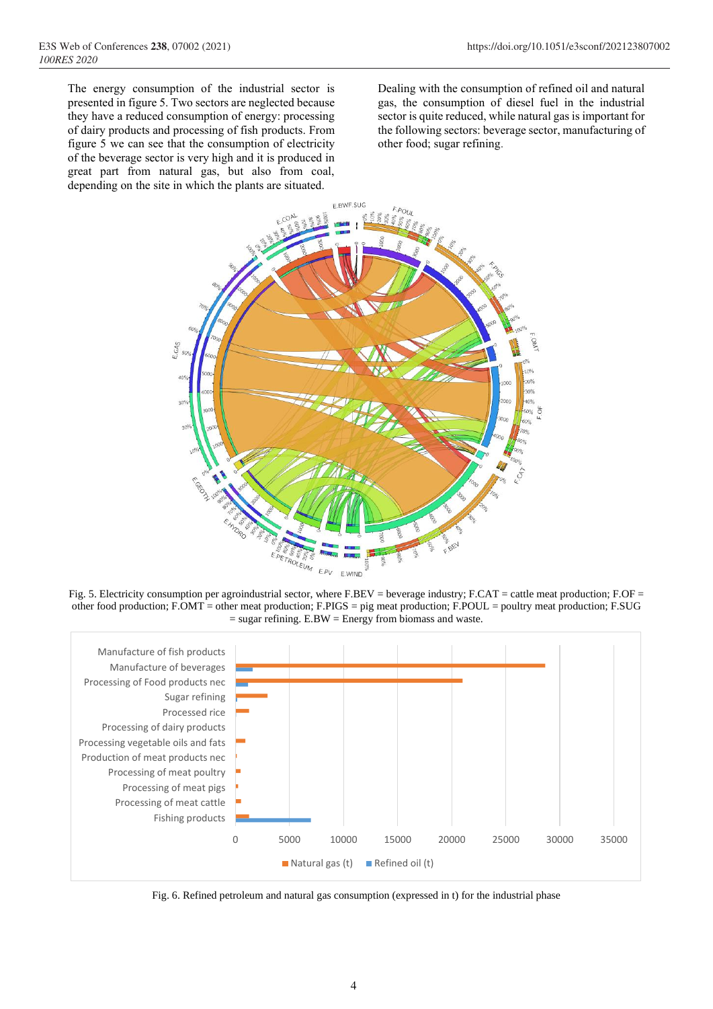The energy consumption of the industrial sector is presented in figure 5. Two sectors are neglected because they have a reduced consumption of energy: processing of dairy products and processing of fish products. From figure 5 we can see that the consumption of electricity of the beverage sector is very high and it is produced in great part from natural gas, but also from coal, depending on the site in which the plants are situated.

Dealing with the consumption of refined oil and natural gas, the consumption of diesel fuel in the industrial sector is quite reduced, while natural gas is important for the following sectors: beverage sector, manufacturing of other food; sugar refining.



Fig. 5. Electricity consumption per agroindustrial sector, where F.BEV = beverage industry; F.CAT = cattle meat production; F.OF = other food production; F.OMT = other meat production; F.PIGS = pig meat production; F.POUL = poultry meat production; F.SUG  $=$  sugar refining. E.BW  $=$  Energy from biomass and waste.



Fig. 6. Refined petroleum and natural gas consumption (expressed in t) for the industrial phase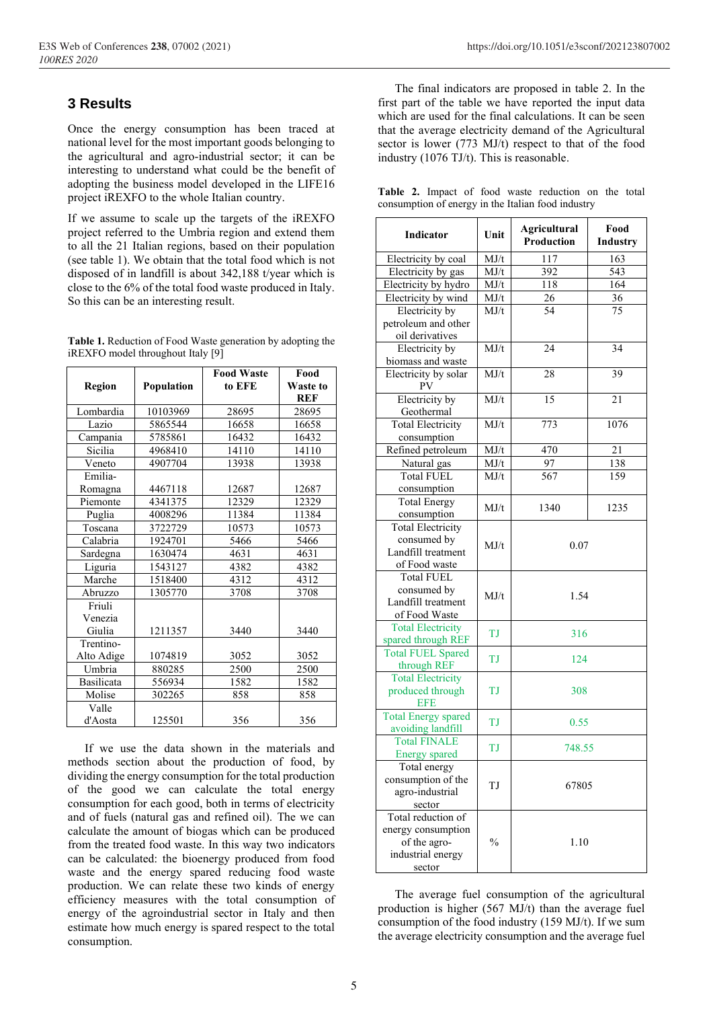#### **3 Results**

Once the energy consumption has been traced at national level for the most important goods belonging to the agricultural and agro-industrial sector; it can be interesting to understand what could be the benefit of adopting the business model developed in the LIFE16 project iREXFO to the whole Italian country.

If we assume to scale up the targets of the iREXFO project referred to the Umbria region and extend them to all the 21 Italian regions, based on their population (see table 1). We obtain that the total food which is not disposed of in landfill is about 342,188 t/year which is close to the 6% of the total food waste produced in Italy. So this can be an interesting result.

| Table 1. Reduction of Food Waste generation by adopting the |
|-------------------------------------------------------------|
| iREXFO model throughout Italy [9]                           |

| Region                      | Population | <b>Food Waste</b><br>to EFE | Food<br>Waste to<br><b>REF</b> |
|-----------------------------|------------|-----------------------------|--------------------------------|
| Lombardia                   | 10103969   | 28695                       | 28695                          |
| Lazio                       | 5865544    | 16658                       | 16658                          |
| Campania                    | 5785861    | 16432                       | 16432                          |
| Sicilia                     | 4968410    | 14110                       | 14110                          |
| Veneto                      | 4907704    | 13938                       | 13938                          |
| Emilia-                     |            |                             |                                |
| Romagna                     | 4467118    | 12687                       | 12687                          |
| Piemonte                    | 4341375    | 12329                       | 12329                          |
| Puglia                      | 4008296    | 11384                       | 11384                          |
| Toscana                     | 3722729    | 10573                       | 10573                          |
| Calabria                    | 1924701    | 5466                        | 5466                           |
| Sardegna                    | 1630474    | 4631                        | 4631                           |
| Liguria                     | 1543127    | 4382                        | 4382                           |
| Marche                      | 1518400    | 4312                        | 4312                           |
| Abruzzo                     | 1305770    | 3708                        | 3708                           |
| Friuli<br>Venezia<br>Giulia | 1211357    | 3440                        | 3440                           |
| Trentino-                   |            |                             |                                |
| Alto Adige                  | 1074819    | 3052                        | 3052                           |
| Umbria                      | 880285     | 2500                        | 2500                           |
| Basilicata                  | 556934     | 1582                        | 1582                           |
| Molise                      | 302265     | 858                         | 858                            |
| Valle                       |            |                             |                                |
| d'Aosta                     | 125501     | 356                         | 356                            |

If we use the data shown in the materials and methods section about the production of food, by dividing the energy consumption for the total production of the good we can calculate the total energy consumption for each good, both in terms of electricity and of fuels (natural gas and refined oil). The we can calculate the amount of biogas which can be produced from the treated food waste. In this way two indicators can be calculated: the bioenergy produced from food waste and the energy spared reducing food waste production. We can relate these two kinds of energy efficiency measures with the total consumption of energy of the agroindustrial sector in Italy and then estimate how much energy is spared respect to the total consumption.

The final indicators are proposed in table 2. In the first part of the table we have reported the input data which are used for the final calculations. It can be seen that the average electricity demand of the Agricultural sector is lower (773 MJ/t) respect to that of the food industry (1076 TJ/t). This is reasonable.

|  |  |  | Table 2. Impact of food waste reduction on the total |  |  |
|--|--|--|------------------------------------------------------|--|--|
|  |  |  | consumption of energy in the Italian food industry   |  |  |

| <b>Indicator</b>                                | Unit          | <b>Agricultural</b><br><b>Production</b> | Food<br>Industry |  |
|-------------------------------------------------|---------------|------------------------------------------|------------------|--|
| Electricity by coal                             | MJ/t          | 117                                      | 163              |  |
| Electricity by gas                              | MJ/t          | 392                                      | 543              |  |
| Electricity by hydro                            | MJ/t          | 118                                      | 164              |  |
| Electricity by wind                             | MJ/t          | <u>26</u>                                | <u>36</u>        |  |
| Electricity by                                  | MJ/t          | $\overline{54}$                          | $\overline{75}$  |  |
| petroleum and other                             |               |                                          |                  |  |
| oil derivatives                                 |               |                                          |                  |  |
| Electricity by                                  | MJ/t          | 24                                       | 34               |  |
| biomass and waste                               |               |                                          |                  |  |
| Electricity by solar<br>PV                      | MJ/t          | 28                                       | 39               |  |
| Electricity by                                  | MJ/t          | $\overline{15}$                          | 21               |  |
| Geothermal                                      |               |                                          |                  |  |
| <b>Total Electricity</b>                        | MJ/t          | 773                                      | 1076             |  |
| consumption                                     |               |                                          |                  |  |
| Refined petroleum                               | MJ/t          | 470                                      | 21               |  |
| Natural gas                                     | MJ/t          | 97                                       | 138              |  |
| <b>Total FUEL</b>                               | MJ/t          | 567                                      | 159              |  |
| consumption                                     |               |                                          |                  |  |
| <b>Total Energy</b>                             | MJ/t          | 1340                                     | 1235             |  |
| consumption                                     |               |                                          |                  |  |
| <b>Total Electricity</b>                        |               |                                          |                  |  |
| consumed by<br>Landfill treatment               | MJ/t          | 0.07                                     |                  |  |
| of Food waste                                   |               |                                          |                  |  |
| <b>Total FUEL</b>                               |               |                                          |                  |  |
| consumed by                                     |               |                                          |                  |  |
| Landfill treatment                              | MJ/t          | 1.54                                     |                  |  |
| of Food Waste                                   |               |                                          |                  |  |
| <b>Total Electricity</b>                        |               |                                          |                  |  |
| spared through REF                              | TJ            | 316                                      |                  |  |
| <b>Total FUEL Spared</b>                        |               |                                          |                  |  |
| through REF                                     | TJ            | 124                                      |                  |  |
| <b>Total Electricity</b>                        |               |                                          |                  |  |
| produced through<br><b>EFE</b>                  | TJ            | 308                                      |                  |  |
| <b>Total Energy spared</b><br>avoiding landfill | TJ            | 0.55                                     |                  |  |
| <b>Total FINALE</b>                             | TJ            | 748.55                                   |                  |  |
| <b>Energy spared</b>                            |               |                                          |                  |  |
| Total energy                                    |               | 67805                                    |                  |  |
| consumption of the                              | TJ            |                                          |                  |  |
| agro-industrial                                 |               |                                          |                  |  |
| sector<br>Total reduction of                    |               |                                          |                  |  |
|                                                 |               |                                          |                  |  |
| energy consumption<br>of the agro-              | $\frac{0}{0}$ | 1.10                                     |                  |  |
| industrial energy                               |               |                                          |                  |  |
| sector                                          |               |                                          |                  |  |

The average fuel consumption of the agricultural production is higher (567 MJ/t) than the average fuel consumption of the food industry (159 MJ/t). If we sum the average electricity consumption and the average fuel